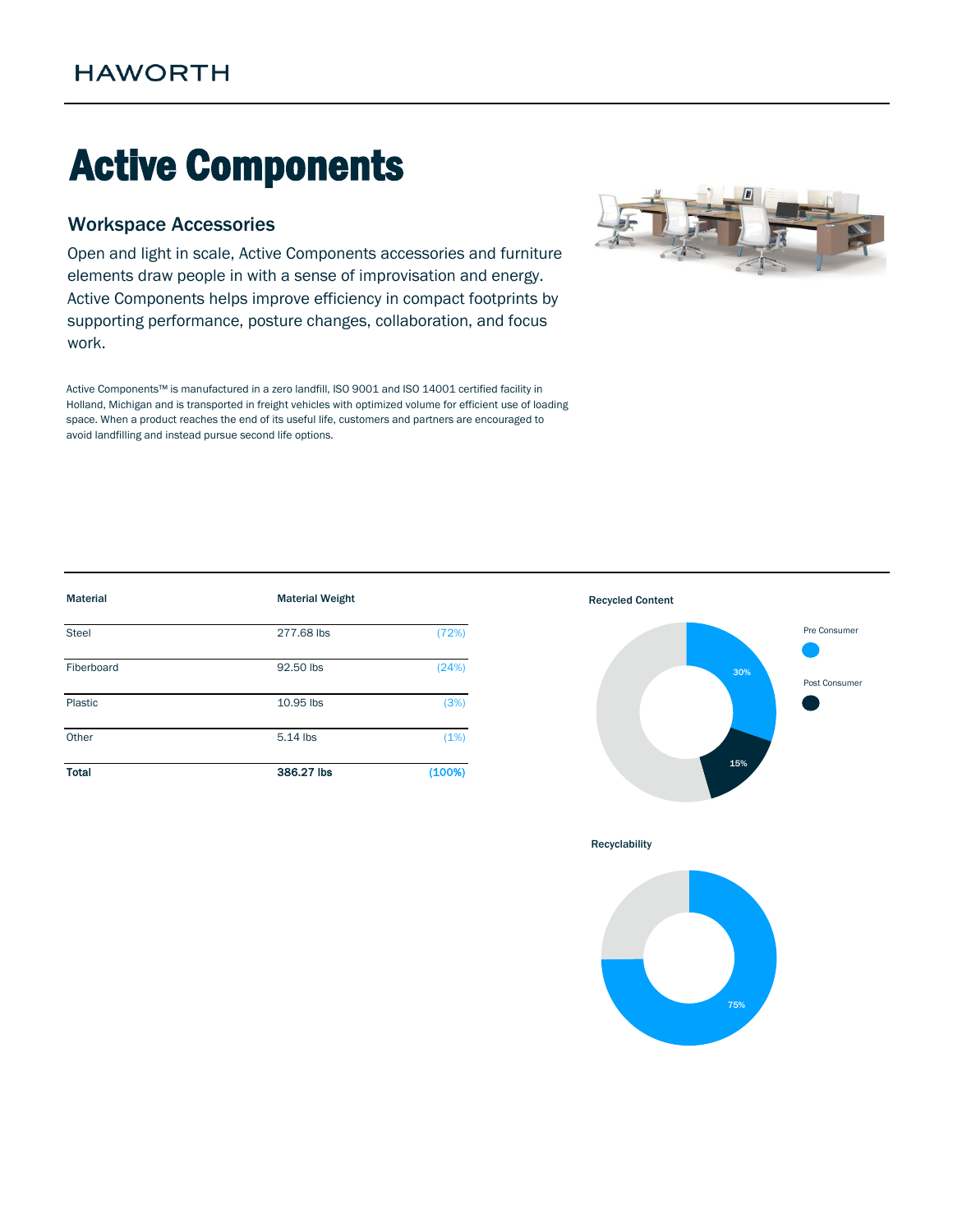# Active Components

## Workspace Accessories

Open and light in scale, Active Components accessories and furniture elements draw people in with a sense of improvisation and energy. Active Components helps improve efficiency in compact footprints by supporting performance, posture changes, collaboration, and focus work.

Active Components™ is manufactured in a zero landfill, ISO 9001 and ISO 14001 certified facility in Holland, Michigan and is transported in freight vehicles with optimized volume for efficient use of loading space. When a product reaches the end of its useful life, customers and partners are encouraged to avoid landfilling and instead pursue second life options.



| <b>Material</b> | <b>Material Weight</b> |        | <b>Recycled Content</b> |                     |
|-----------------|------------------------|--------|-------------------------|---------------------|
| Steel           | 277.68 lbs             | (72%)  |                         | Pre Consumer        |
| Fiberboard      | 92.50 lbs              | (24%)  |                         | 30%<br>Post Consume |
| Plastic         | 10.95 lbs              | (3%)   |                         |                     |
| Other           | 5.14 lbs               | (1%)   |                         |                     |
| <b>Total</b>    | 386.27 lbs             | (100%) | 15%                     |                     |